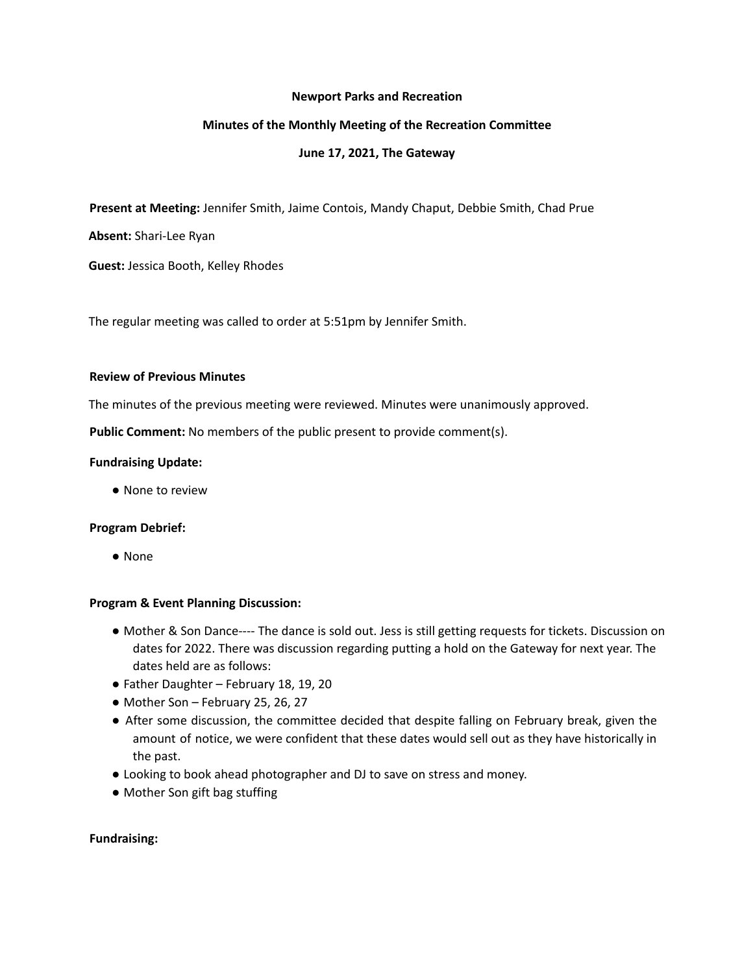#### **Newport Parks and Recreation**

## **Minutes of the Monthly Meeting of the Recreation Committee**

## **June 17, 2021, The Gateway**

**Present at Meeting:** Jennifer Smith, Jaime Contois, Mandy Chaput, Debbie Smith, Chad Prue

**Absent:** Shari-Lee Ryan

**Guest:** Jessica Booth, Kelley Rhodes

The regular meeting was called to order at 5:51pm by Jennifer Smith.

#### **Review of Previous Minutes**

The minutes of the previous meeting were reviewed. Minutes were unanimously approved.

**Public Comment:** No members of the public present to provide comment(s).

### **Fundraising Update:**

● None to review

#### **Program Debrief:**

● None

#### **Program & Event Planning Discussion:**

- Mother & Son Dance---- The dance is sold out. Jess is still getting requests for tickets. Discussion on dates for 2022. There was discussion regarding putting a hold on the Gateway for next year. The dates held are as follows:
- Father Daughter February 18, 19, 20
- Mother Son February 25, 26, 27
- After some discussion, the committee decided that despite falling on February break, given the amount of notice, we were confident that these dates would sell out as they have historically in the past.
- Looking to book ahead photographer and DJ to save on stress and money.
- Mother Son gift bag stuffing

## **Fundraising:**